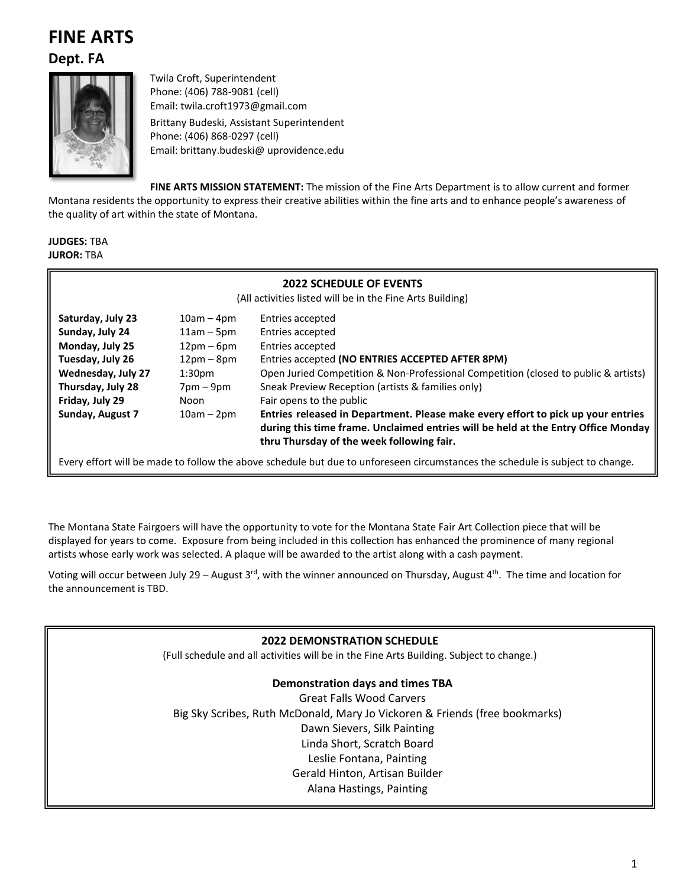# **FINE ARTS**

**Dept. FA**



Twila Croft, Superintendent Phone: (406) 788-9081 (cell) Email: twila.croft1973@gmail.com Brittany Budeski, Assistant Superintendent Phone: (406) 868-0297 (cell) Email: brittany.budeski@ uprovidence.edu

**FINE ARTS MISSION STATEMENT:** The mission of the Fine Arts Department is to allow current and former

Montana residents the opportunity to express their creative abilities within the fine arts and to enhance people's awareness of the quality of art within the state of Montana.

**JUDGES:** TBA **JUROR:** TBA

| <b>2022 SCHEDULE OF EVENTS</b><br>(All activities listed will be in the Fine Arts Building) |                    |                                                                                                                                                                       |  |  |  |
|---------------------------------------------------------------------------------------------|--------------------|-----------------------------------------------------------------------------------------------------------------------------------------------------------------------|--|--|--|
|                                                                                             |                    |                                                                                                                                                                       |  |  |  |
| Sunday, July 24                                                                             | $11am - 5pm$       | Entries accepted                                                                                                                                                      |  |  |  |
| Monday, July 25                                                                             | $12pm-6pm$         | Entries accepted                                                                                                                                                      |  |  |  |
| Tuesday, July 26                                                                            | $12pm-8pm$         | Entries accepted (NO ENTRIES ACCEPTED AFTER 8PM)                                                                                                                      |  |  |  |
| Wednesday, July 27                                                                          | 1:30 <sub>pm</sub> | Open Juried Competition & Non-Professional Competition (closed to public & artists)                                                                                   |  |  |  |
| Thursday, July 28                                                                           | $7$ pm $-9$ pm     | Sneak Preview Reception (artists & families only)                                                                                                                     |  |  |  |
| Friday, July 29                                                                             | Noon               | Fair opens to the public                                                                                                                                              |  |  |  |
| Sunday, August 7<br>$10am - 2pm$<br>thru Thursday of the week following fair.               |                    | Entries released in Department. Please make every effort to pick up your entries<br>during this time frame. Unclaimed entries will be held at the Entry Office Monday |  |  |  |

Every effort will be made to follow the above schedule but due to unforeseen circumstances the schedule is subject to change.

The Montana State Fairgoers will have the opportunity to vote for the Montana State Fair Art Collection piece that will be displayed for years to come. Exposure from being included in this collection has enhanced the prominence of many regional artists whose early work was selected. A plaque will be awarded to the artist along with a cash payment.

Voting will occur between July 29 – August 3<sup>rd</sup>, with the winner announced on Thursday, August 4<sup>th</sup>. The time and location for the announcement is TBD.

## **2022 DEMONSTRATION SCHEDULE** (Full schedule and all activities will be in the Fine Arts Building. Subject to change.) **Demonstration days and times TBA** Great Falls Wood Carvers Big Sky Scribes, Ruth McDonald, Mary Jo Vickoren & Friends (free bookmarks) Dawn Sievers, Silk Painting Linda Short, Scratch Board Leslie Fontana, Painting Gerald Hinton, Artisan Builder Alana Hastings, Painting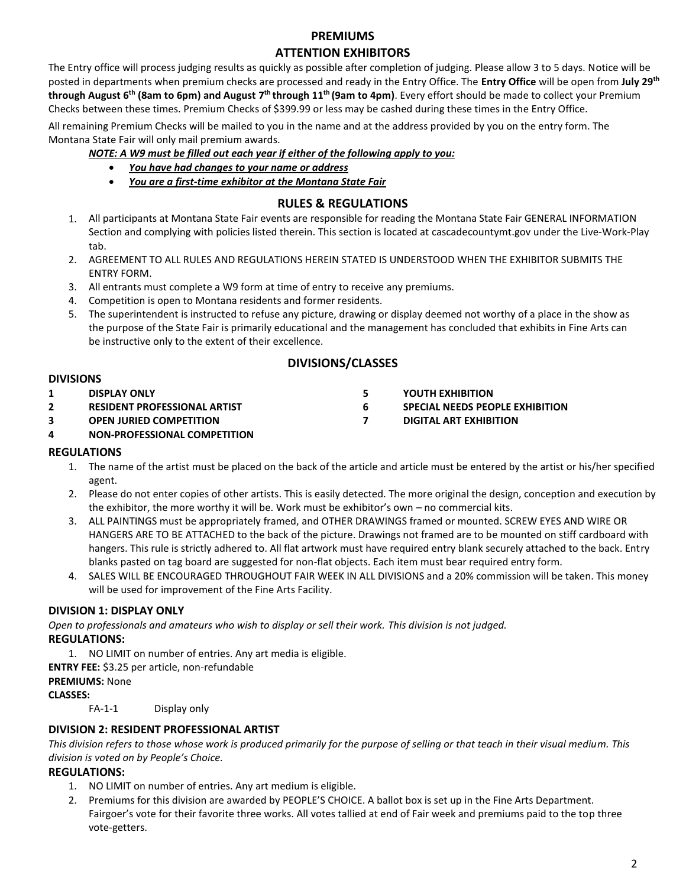## **PREMIUMS**

## **ATTENTION EXHIBITORS**

The Entry office will process judging results as quickly as possible after completion of judging. Please allow 3 to 5 days. Notice will be posted in departments when premium checks are processed and ready in the Entry Office. The **Entry Office** will be open from **July 29th through August 6<sup>th</sup> (8am to 6pm) and August 7<sup>th</sup> through 11<sup>th</sup> (9am to 4pm). Every effort should be made to collect your Premium** Checks between these times. Premium Checks of \$399.99 or less may be cashed during these times in the Entry Office.

All remaining Premium Checks will be mailed to you in the name and at the address provided by you on the entry form. The Montana State Fair will only mail premium awards.

#### *NOTE: A W9 must be filled out each year if either of the following apply to you:*

- *You have had changes to your name or address*
- *You are a first-time exhibitor at the Montana State Fair*

## **RULES & REGULATIONS**

- 1. All participants at Montana State Fair events are responsible for reading the Montana State Fair GENERAL INFORMATION Section and complying with policies listed therein. This section is located at cascadecountymt.gov under the Live-Work-Play tab.
- 2. AGREEMENT TO ALL RULES AND REGULATIONS HEREIN STATED IS UNDERSTOOD WHEN THE EXHIBITOR SUBMITS THE ENTRY FORM.
- 3. All entrants must complete a W9 form at time of entry to receive any premiums.
- 4. Competition is open to Montana residents and former residents.
- 5. The superintendent is instructed to refuse any picture, drawing or display deemed not worthy of a place in the show as the purpose of the State Fair is primarily educational and the management has concluded that exhibits in Fine Arts can be instructive only to the extent of their excellence.

## **DIVISIONS/CLASSES**

#### **DIVISIONS**

- **1 DISPLAY ONLY 2 RESIDENT PROFESSIONAL ARTIST**
- 
- **3 OPEN JURIED COMPETITION**

#### **4 NON-PROFESSIONAL COMPETITION**

## **REGULATIONS**

- 1. The name of the artist must be placed on the back of the article and article must be entered by the artist or his/her specified agent.
- 2. Please do not enter copies of other artists. This is easily detected. The more original the design, conception and execution by the exhibitor, the more worthy it will be. Work must be exhibitor's own – no commercial kits.
- 3. ALL PAINTINGS must be appropriately framed, and OTHER DRAWINGS framed or mounted. SCREW EYES AND WIRE OR HANGERS ARE TO BE ATTACHED to the back of the picture. Drawings not framed are to be mounted on stiff cardboard with hangers. This rule is strictly adhered to. All flat artwork must have required entry blank securely attached to the back. Entry blanks pasted on tag board are suggested for non-flat objects. Each item must bear required entry form.
- 4. SALES WILL BE ENCOURAGED THROUGHOUT FAIR WEEK IN ALL DIVISIONS and a 20% commission will be taken. This money will be used for improvement of the Fine Arts Facility.

## **DIVISION 1: DISPLAY ONLY**

*Open to professionals and amateurs who wish to display or sell their work. This division is not judged.* **REGULATIONS:**

1. NO LIMIT on number of entries. Any art media is eligible.

**ENTRY FEE:** \$3.25 per article, non-refundable

**PREMIUMS:** None

#### **CLASSES:**

FA-1-1 Display only

#### **DIVISION 2: RESIDENT PROFESSIONAL ARTIST**

*This division refers to those whose work is produced primarily for the purpose of selling or that teach in their visual medium. This division is voted on by People's Choice.*

## **REGULATIONS:**

- 1. NO LIMIT on number of entries. Any art medium is eligible.
- 2. Premiums for this division are awarded by PEOPLE'S CHOICE. A ballot box is set up in the Fine Arts Department. Fairgoer's vote for their favorite three works. All votes tallied at end of Fair week and premiums paid to the top three vote-getters.
- **5 YOUTH EXHIBITION**
- **6 SPECIAL NEEDS PEOPLE EXHIBITION**
- **7 DIGITAL ART EXHIBITION**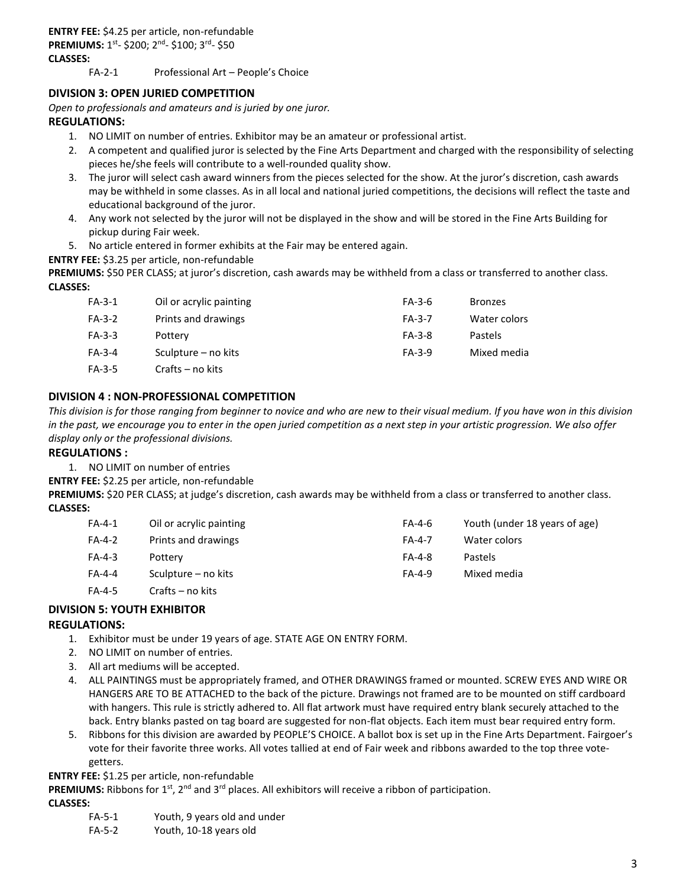FA-2-1 Professional Art – People's Choice

#### **DIVISION 3: OPEN JURIED COMPETITION**

*Open to professionals and amateurs and is juried by one juror.*

#### **REGULATIONS:**

- 1. NO LIMIT on number of entries. Exhibitor may be an amateur or professional artist.
- 2. A competent and qualified juror is selected by the Fine Arts Department and charged with the responsibility of selecting pieces he/she feels will contribute to a well-rounded quality show.
- 3. The juror will select cash award winners from the pieces selected for the show. At the juror's discretion, cash awards may be withheld in some classes. As in all local and national juried competitions, the decisions will reflect the taste and educational background of the juror.
- 4. Any work not selected by the juror will not be displayed in the show and will be stored in the Fine Arts Building for pickup during Fair week.
- 5. No article entered in former exhibits at the Fair may be entered again.

**ENTRY FEE:** \$3.25 per article, non-refundable

PREMIUMS: \$50 PER CLASS; at juror's discretion, cash awards may be withheld from a class or transferred to another class. **CLASSES:**

| $FA-3-1$ | Oil or acrylic painting | FA-3-6        | <b>Bronzes</b> |
|----------|-------------------------|---------------|----------------|
| $FA-3-2$ | Prints and drawings     | <b>FA-3-7</b> | Water colors   |
| $FA-3-3$ | Pottery                 | FA-3-8        | <b>Pastels</b> |
| $FA-3-4$ | Sculpture – no kits     | FA-3-9        | Mixed media    |
| FA-3-5   | Crafts – no kits        |               |                |

#### **DIVISION 4 : NON-PROFESSIONAL COMPETITION**

*This division is for those ranging from beginner to novice and who are new to their visual medium. If you have won in this division in the past, we encourage you to enter in the open juried competition as a next step in your artistic progression. We also offer display only or the professional divisions.*

#### **REGULATIONS :**

1. NO LIMIT on number of entries

**ENTRY FEE:** \$2.25 per article, non-refundable

PREMIUMS: \$20 PER CLASS; at judge's discretion, cash awards may be withheld from a class or transferred to another class. **CLASSES:**

| $FA-4-1$ | Oil or acrylic painting | $FA-4-6$      | Youth (under 18 years of age) |
|----------|-------------------------|---------------|-------------------------------|
| $FA-4-2$ | Prints and drawings     | <b>FA-4-7</b> | Water colors                  |
| $FA-4-3$ | Pottery                 | FA-4-8        | Pastels                       |
| $FA-4-4$ | Sculpture – no kits     | $FA-4-9$      | Mixed media                   |
| $FA-4-5$ | Crafts – no kits        |               |                               |

## **DIVISION 5: YOUTH EXHIBITOR**

#### **REGULATIONS:**

- 1. Exhibitor must be under 19 years of age. STATE AGE ON ENTRY FORM.
- 2. NO LIMIT on number of entries.
- 3. All art mediums will be accepted.
- 4. ALL PAINTINGS must be appropriately framed, and OTHER DRAWINGS framed or mounted. SCREW EYES AND WIRE OR HANGERS ARE TO BE ATTACHED to the back of the picture. Drawings not framed are to be mounted on stiff cardboard with hangers. This rule is strictly adhered to. All flat artwork must have required entry blank securely attached to the back. Entry blanks pasted on tag board are suggested for non-flat objects. Each item must bear required entry form.
- 5. Ribbons for this division are awarded by PEOPLE'S CHOICE. A ballot box is set up in the Fine Arts Department. Fairgoer's vote for their favorite three works. All votes tallied at end of Fair week and ribbons awarded to the top three votegetters.

**ENTRY FEE:** \$1.25 per article, non-refundable

**PREMIUMS:** Ribbons for 1<sup>st</sup>, 2<sup>nd</sup> and 3<sup>rd</sup> places. All exhibitors will receive a ribbon of participation.

#### **CLASSES:**

- FA-5-1 Youth, 9 years old and under
- FA-5-2 Youth, 10-18 years old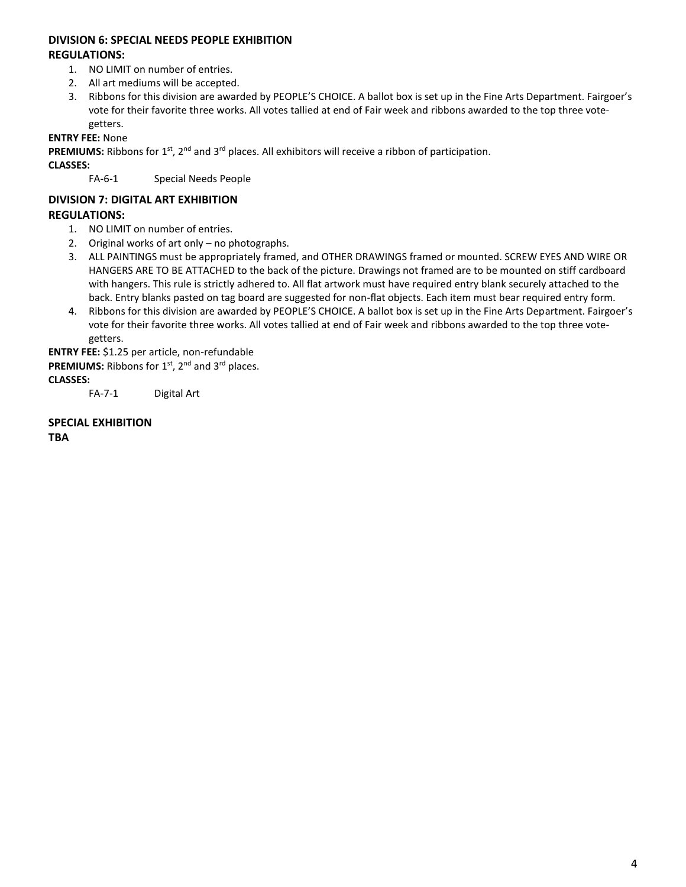#### **DIVISION 6: SPECIAL NEEDS PEOPLE EXHIBITION REGULATIONS:**

- 1. NO LIMIT on number of entries.
- 2. All art mediums will be accepted.
- 3. Ribbons for this division are awarded by PEOPLE'S CHOICE. A ballot box is set up in the Fine Arts Department. Fairgoer's vote for their favorite three works. All votes tallied at end of Fair week and ribbons awarded to the top three votegetters.

**ENTRY FEE:** None

**PREMIUMS:** Ribbons for 1<sup>st</sup>, 2<sup>nd</sup> and 3<sup>rd</sup> places. All exhibitors will receive a ribbon of participation.

**CLASSES:** 

FA-6-1 Special Needs People

## **DIVISION 7: DIGITAL ART EXHIBITION REGULATIONS:**

- 1. NO LIMIT on number of entries.
- 2. Original works of art only no photographs.
- 3. ALL PAINTINGS must be appropriately framed, and OTHER DRAWINGS framed or mounted. SCREW EYES AND WIRE OR HANGERS ARE TO BE ATTACHED to the back of the picture. Drawings not framed are to be mounted on stiff cardboard with hangers. This rule is strictly adhered to. All flat artwork must have required entry blank securely attached to the back. Entry blanks pasted on tag board are suggested for non-flat objects. Each item must bear required entry form.
- 4. Ribbons for this division are awarded by PEOPLE'S CHOICE. A ballot box is set up in the Fine Arts Department. Fairgoer's vote for their favorite three works. All votes tallied at end of Fair week and ribbons awarded to the top three votegetters.

**ENTRY FEE:** \$1.25 per article, non-refundable **PREMIUMS:** Ribbons for 1<sup>st</sup>, 2<sup>nd</sup> and 3<sup>rd</sup> places. **CLASSES:** 

FA-7-1 Digital Art

**SPECIAL EXHIBITION TBA**